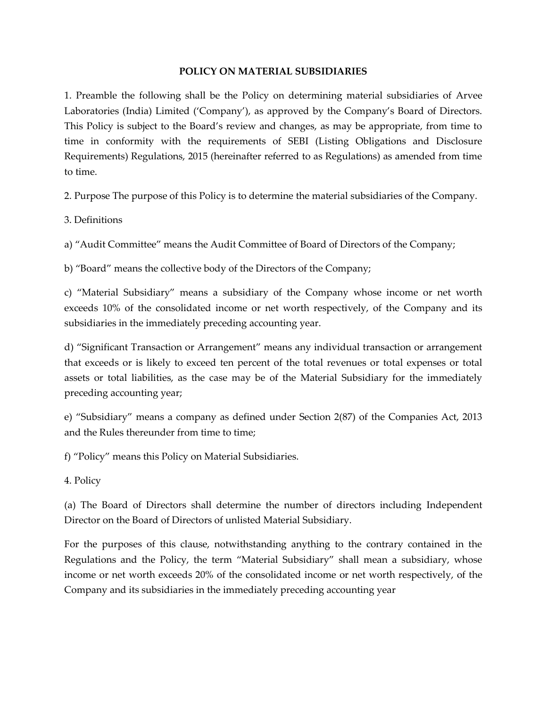# **POLICY ON MATERIAL SUBSIDIARIES**

1. Preamble the following shall be the Policy on determining material subsidiaries of Arvee Laboratories (India) Limited ('Company'), as approved by the Company's Board of Directors. This Policy is subject to the Board's review and changes, as may be appropriate, from time to time in conformity with the requirements of SEBI (Listing Obligations and Disclosure Requirements) Regulations, 2015 (hereinafter referred to as Regulations) as amended from time to time.

2. Purpose The purpose of this Policy is to determine the material subsidiaries of the Company.

3. Definitions

a) "Audit Committee" means the Audit Committee of Board of Directors of the Company;

b) "Board" means the collective body of the Directors of the Company;

c) "Material Subsidiary" means a subsidiary of the Company whose income or net worth exceeds 10% of the consolidated income or net worth respectively, of the Company and its subsidiaries in the immediately preceding accounting year.

d) "Significant Transaction or Arrangement" means any individual transaction or arrangement that exceeds or is likely to exceed ten percent of the total revenues or total expenses or total assets or total liabilities, as the case may be of the Material Subsidiary for the immediately preceding accounting year;

e) "Subsidiary" means a company as defined under Section 2(87) of the Companies Act, 2013 and the Rules thereunder from time to time;

f) "Policy" means this Policy on Material Subsidiaries.

4. Policy

(a) The Board of Directors shall determine the number of directors including Independent Director on the Board of Directors of unlisted Material Subsidiary.

For the purposes of this clause, notwithstanding anything to the contrary contained in the Regulations and the Policy, the term "Material Subsidiary" shall mean a subsidiary, whose income or net worth exceeds 20% of the consolidated income or net worth respectively, of the Company and its subsidiaries in the immediately preceding accounting year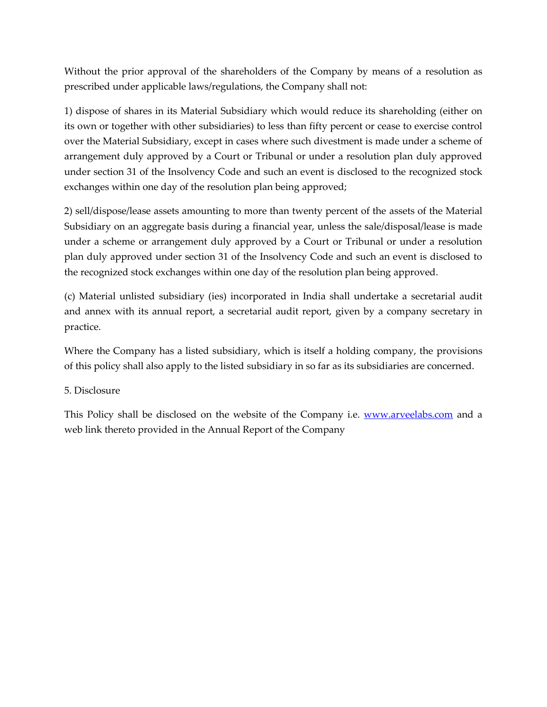Without the prior approval of the shareholders of the Company by means of a resolution as prescribed under applicable laws/regulations, the Company shall not:

1) dispose of shares in its Material Subsidiary which would reduce its shareholding (either on its own or together with other subsidiaries) to less than fifty percent or cease to exercise control over the Material Subsidiary, except in cases where such divestment is made under a scheme of arrangement duly approved by a Court or Tribunal or under a resolution plan duly approved under section 31 of the Insolvency Code and such an event is disclosed to the recognized stock exchanges within one day of the resolution plan being approved;

2) sell/dispose/lease assets amounting to more than twenty percent of the assets of the Material Subsidiary on an aggregate basis during a financial year, unless the sale/disposal/lease is made under a scheme or arrangement duly approved by a Court or Tribunal or under a resolution plan duly approved under section 31 of the Insolvency Code and such an event is disclosed to the recognized stock exchanges within one day of the resolution plan being approved.

(c) Material unlisted subsidiary (ies) incorporated in India shall undertake a secretarial audit and annex with its annual report, a secretarial audit report, given by a company secretary in practice.

Where the Company has a listed subsidiary, which is itself a holding company, the provisions of this policy shall also apply to the listed subsidiary in so far as its subsidiaries are concerned.

# 5. Disclosure

This Policy shall be disclosed on the website of the Company i.e. [www.arveelabs.com](http://www.arveelabs.com/) and a web link thereto provided in the Annual Report of the Company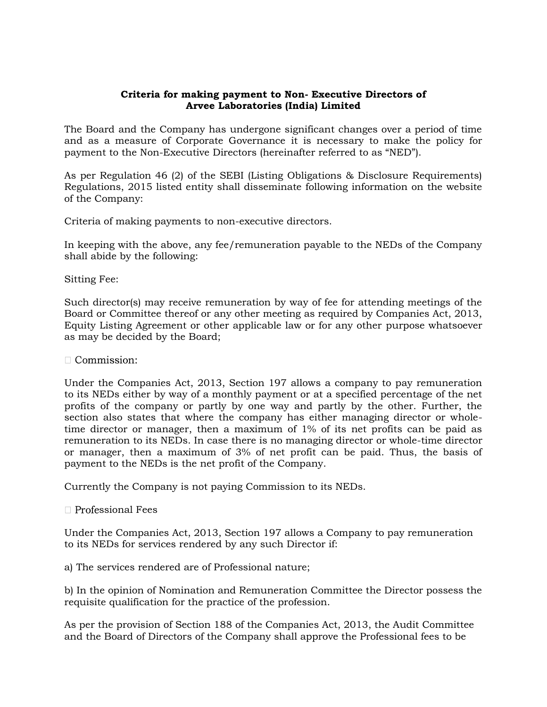### **Criteria for making payment to Non- Executive Directors of Arvee Laboratories (India) Limited**

The Board and the Company has undergone significant changes over a period of time and as a measure of Corporate Governance it is necessary to make the policy for payment to the Non-Executive Directors (hereinafter referred to as "NED").

As per Regulation 46 (2) of the SEBI (Listing Obligations & Disclosure Requirements) Regulations, 2015 listed entity shall disseminate following information on the website of the Company:

Criteria of making payments to non-executive directors.

In keeping with the above, any fee/remuneration payable to the NEDs of the Company shall abide by the following:

Sitting Fee:

Such director(s) may receive remuneration by way of fee for attending meetings of the Board or Committee thereof or any other meeting as required by Companies Act, 2013, Equity Listing Agreement or other applicable law or for any other purpose whatsoever as may be decided by the Board;

 $\Box$  Commission:

Under the Companies Act, 2013, Section 197 allows a company to pay remuneration to its NEDs either by way of a monthly payment or at a specified percentage of the net profits of the company or partly by one way and partly by the other. Further, the section also states that where the company has either managing director or wholetime director or manager, then a maximum of 1% of its net profits can be paid as remuneration to its NEDs. In case there is no managing director or whole-time director or manager, then a maximum of 3% of net profit can be paid. Thus, the basis of payment to the NEDs is the net profit of the Company.

Currently the Company is not paying Commission to its NEDs.

#### $\Box$  Professional Fees

Under the Companies Act, 2013, Section 197 allows a Company to pay remuneration to its NEDs for services rendered by any such Director if:

a) The services rendered are of Professional nature;

b) In the opinion of Nomination and Remuneration Committee the Director possess the requisite qualification for the practice of the profession.

As per the provision of Section 188 of the Companies Act, 2013, the Audit Committee and the Board of Directors of the Company shall approve the Professional fees to be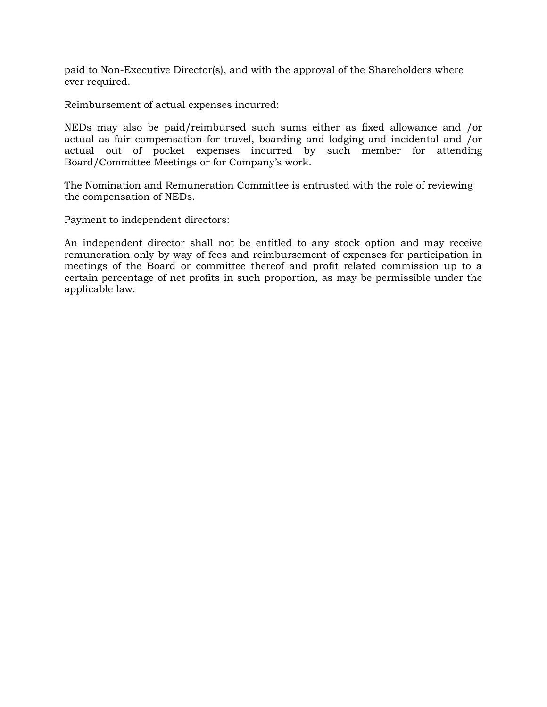paid to Non-Executive Director(s), and with the approval of the Shareholders where ever required.

Reimbursement of actual expenses incurred:

NEDs may also be paid/reimbursed such sums either as fixed allowance and /or actual as fair compensation for travel, boarding and lodging and incidental and /or actual out of pocket expenses incurred by such member for attending Board/Committee Meetings or for Company's work.

The Nomination and Remuneration Committee is entrusted with the role of reviewing the compensation of NEDs.

Payment to independent directors:

An independent director shall not be entitled to any stock option and may receive remuneration only by way of fees and reimbursement of expenses for participation in meetings of the Board or committee thereof and profit related commission up to a certain percentage of net profits in such proportion, as may be permissible under the applicable law.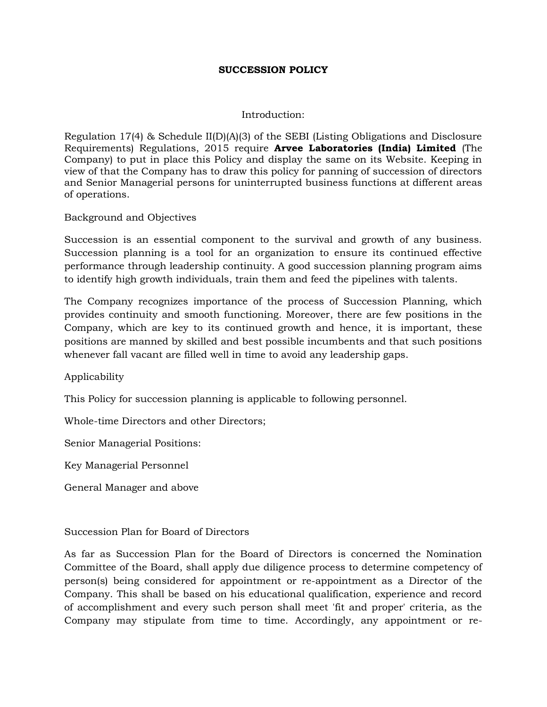#### **SUCCESSION POLICY**

#### Introduction:

Regulation 17(4) & Schedule  $II(D)(A)(3)$  of the SEBI (Listing Obligations and Disclosure Requirements) Regulations, 2015 require **Arvee Laboratories (India) Limited** (The Company) to put in place this Policy and display the same on its Website. Keeping in view of that the Company has to draw this policy for panning of succession of directors and Senior Managerial persons for uninterrupted business functions at different areas of operations.

Background and Objectives

Succession is an essential component to the survival and growth of any business. Succession planning is a tool for an organization to ensure its continued effective performance through leadership continuity. A good succession planning program aims to identify high growth individuals, train them and feed the pipelines with talents.

The Company recognizes importance of the process of Succession Planning, which provides continuity and smooth functioning. Moreover, there are few positions in the Company, which are key to its continued growth and hence, it is important, these positions are manned by skilled and best possible incumbents and that such positions whenever fall vacant are filled well in time to avoid any leadership gaps.

Applicability

This Policy for succession planning is applicable to following personnel.

Whole-time Directors and other Directors;

Senior Managerial Positions:

Key Managerial Personnel

General Manager and above

#### Succession Plan for Board of Directors

As far as Succession Plan for the Board of Directors is concerned the Nomination Committee of the Board, shall apply due diligence process to determine competency of person(s) being considered for appointment or re-appointment as a Director of the Company. This shall be based on his educational qualification, experience and record of accomplishment and every such person shall meet 'fit and proper' criteria, as the Company may stipulate from time to time. Accordingly, any appointment or re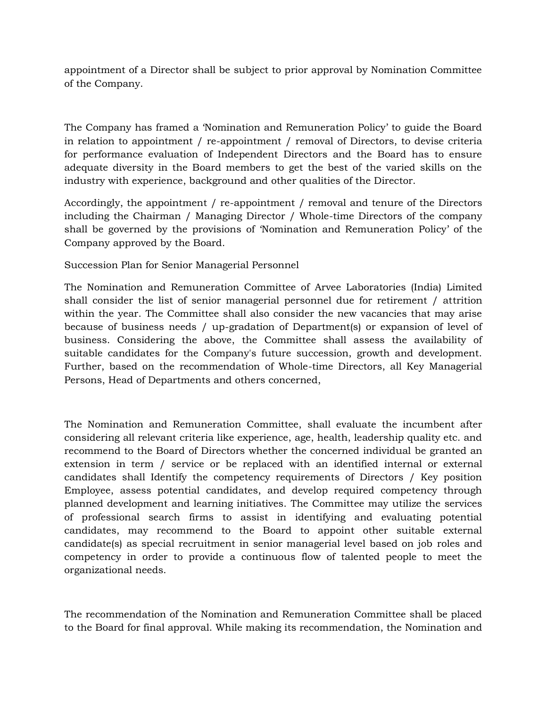appointment of a Director shall be subject to prior approval by Nomination Committee of the Company.

The Company has framed a 'Nomination and Remuneration Policy' to guide the Board in relation to appointment / re-appointment / removal of Directors, to devise criteria for performance evaluation of Independent Directors and the Board has to ensure adequate diversity in the Board members to get the best of the varied skills on the industry with experience, background and other qualities of the Director.

Accordingly, the appointment / re-appointment / removal and tenure of the Directors including the Chairman / Managing Director / Whole-time Directors of the company shall be governed by the provisions of 'Nomination and Remuneration Policy' of the Company approved by the Board.

Succession Plan for Senior Managerial Personnel

The Nomination and Remuneration Committee of Arvee Laboratories (India) Limited shall consider the list of senior managerial personnel due for retirement / attrition within the year. The Committee shall also consider the new vacancies that may arise because of business needs / up-gradation of Department(s) or expansion of level of business. Considering the above, the Committee shall assess the availability of suitable candidates for the Company's future succession, growth and development. Further, based on the recommendation of Whole-time Directors, all Key Managerial Persons, Head of Departments and others concerned,

The Nomination and Remuneration Committee, shall evaluate the incumbent after considering all relevant criteria like experience, age, health, leadership quality etc. and recommend to the Board of Directors whether the concerned individual be granted an extension in term / service or be replaced with an identified internal or external candidates shall Identify the competency requirements of Directors / Key position Employee, assess potential candidates, and develop required competency through planned development and learning initiatives. The Committee may utilize the services of professional search firms to assist in identifying and evaluating potential candidates, may recommend to the Board to appoint other suitable external candidate(s) as special recruitment in senior managerial level based on job roles and competency in order to provide a continuous flow of talented people to meet the organizational needs.

The recommendation of the Nomination and Remuneration Committee shall be placed to the Board for final approval. While making its recommendation, the Nomination and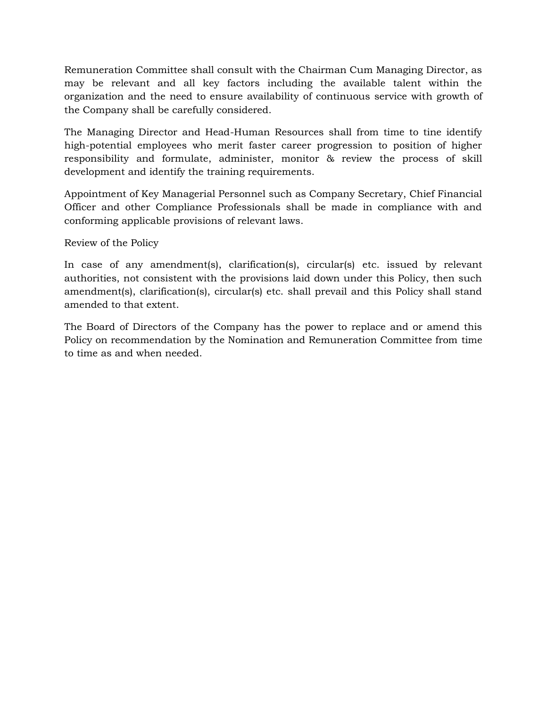Remuneration Committee shall consult with the Chairman Cum Managing Director, as may be relevant and all key factors including the available talent within the organization and the need to ensure availability of continuous service with growth of the Company shall be carefully considered.

The Managing Director and Head-Human Resources shall from time to tine identify high-potential employees who merit faster career progression to position of higher responsibility and formulate, administer, monitor & review the process of skill development and identify the training requirements.

Appointment of Key Managerial Personnel such as Company Secretary, Chief Financial Officer and other Compliance Professionals shall be made in compliance with and conforming applicable provisions of relevant laws.

Review of the Policy

In case of any amendment(s), clarification(s), circular(s) etc. issued by relevant authorities, not consistent with the provisions laid down under this Policy, then such amendment(s), clarification(s), circular(s) etc. shall prevail and this Policy shall stand amended to that extent.

The Board of Directors of the Company has the power to replace and or amend this Policy on recommendation by the Nomination and Remuneration Committee from time to time as and when needed.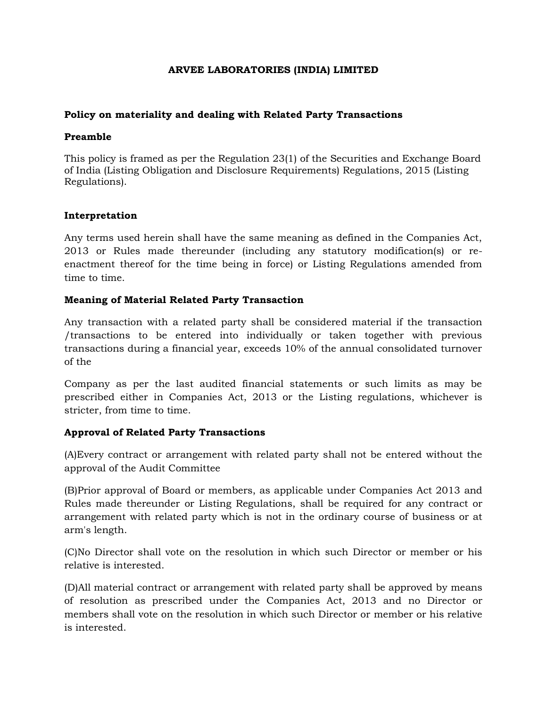### **ARVEE LABORATORIES (INDIA) LIMITED**

### **Policy on materiality and dealing with Related Party Transactions**

#### **Preamble**

This policy is framed as per the Regulation 23(1) of the Securities and Exchange Board of India (Listing Obligation and Disclosure Requirements) Regulations, 2015 (Listing Regulations).

# **Interpretation**

Any terms used herein shall have the same meaning as defined in the Companies Act, 2013 or Rules made thereunder (including any statutory modification(s) or reenactment thereof for the time being in force) or Listing Regulations amended from time to time.

# **Meaning of Material Related Party Transaction**

Any transaction with a related party shall be considered material if the transaction /transactions to be entered into individually or taken together with previous transactions during a financial year, exceeds 10% of the annual consolidated turnover of the

Company as per the last audited financial statements or such limits as may be prescribed either in Companies Act, 2013 or the Listing regulations, whichever is stricter, from time to time.

# **Approval of Related Party Transactions**

(A)Every contract or arrangement with related party shall not be entered without the approval of the Audit Committee

(B)Prior approval of Board or members, as applicable under Companies Act 2013 and Rules made thereunder or Listing Regulations, shall be required for any contract or arrangement with related party which is not in the ordinary course of business or at arm's length.

(C)No Director shall vote on the resolution in which such Director or member or his relative is interested.

(D)All material contract or arrangement with related party shall be approved by means of resolution as prescribed under the Companies Act, 2013 and no Director or members shall vote on the resolution in which such Director or member or his relative is interested.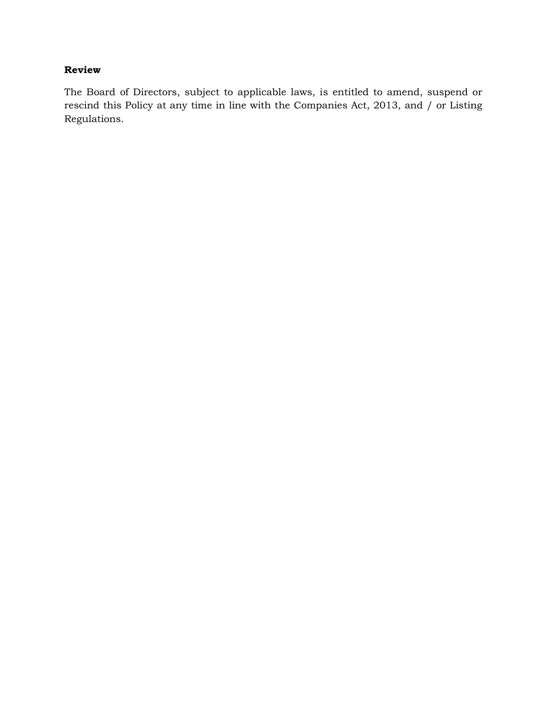# **Review**

The Board of Directors, subject to applicable laws, is entitled to amend, suspend or rescind this Policy at any time in line with the Companies Act, 2013, and / or Listing Regulations.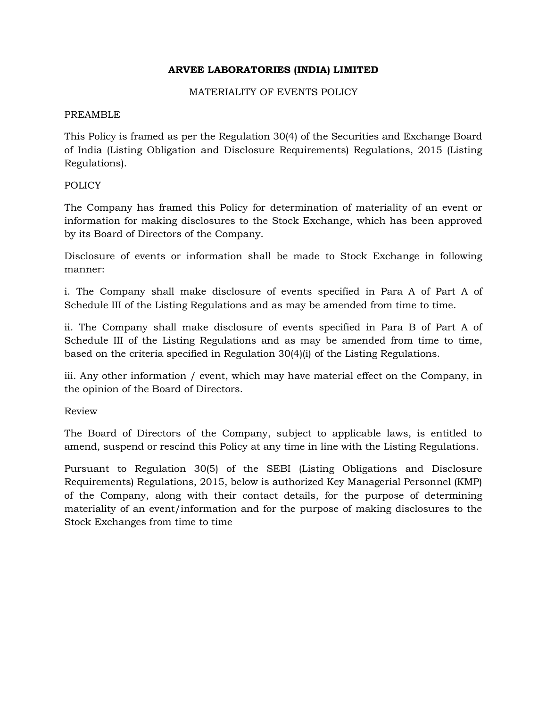# **ARVEE LABORATORIES (INDIA) LIMITED**

### MATERIALITY OF EVENTS POLICY

### PREAMBLE

This Policy is framed as per the Regulation 30(4) of the Securities and Exchange Board of India (Listing Obligation and Disclosure Requirements) Regulations, 2015 (Listing Regulations).

# POLICY

The Company has framed this Policy for determination of materiality of an event or information for making disclosures to the Stock Exchange, which has been approved by its Board of Directors of the Company.

Disclosure of events or information shall be made to Stock Exchange in following manner:

i. The Company shall make disclosure of events specified in Para A of Part A of Schedule III of the Listing Regulations and as may be amended from time to time.

ii. The Company shall make disclosure of events specified in Para B of Part A of Schedule III of the Listing Regulations and as may be amended from time to time, based on the criteria specified in Regulation 30(4)(i) of the Listing Regulations.

iii. Any other information / event, which may have material effect on the Company, in the opinion of the Board of Directors.

Review

The Board of Directors of the Company, subject to applicable laws, is entitled to amend, suspend or rescind this Policy at any time in line with the Listing Regulations.

Pursuant to Regulation 30(5) of the SEBI (Listing Obligations and Disclosure Requirements) Regulations, 2015, below is authorized Key Managerial Personnel (KMP) of the Company, along with their contact details, for the purpose of determining materiality of an event/information and for the purpose of making disclosures to the Stock Exchanges from time to time